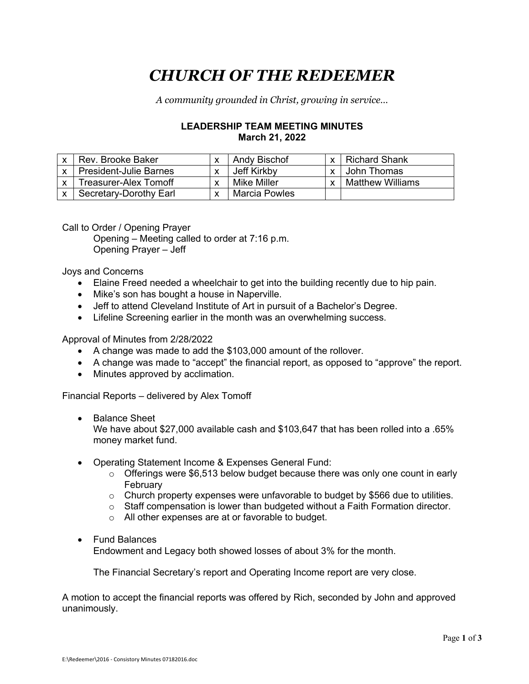# *CHURCH OF THE REDEEMER*

*A community grounded in Christ, growing in service…*

## **LEADERSHIP TEAM MEETING MINUTES March 21, 2022**

| Rev. Brooke Baker             |                          | Andy Bischof  | $\checkmark$ | <b>Richard Shank</b>    |
|-------------------------------|--------------------------|---------------|--------------|-------------------------|
| <b>President-Julie Barnes</b> | $\overline{\phantom{a}}$ | Jeff Kirkby   | $\checkmark$ | John Thomas             |
| Treasurer-Alex Tomoff         |                          | Mike Miller   |              | <b>Matthew Williams</b> |
| Secretary-Dorothy Earl        |                          | Marcia Powles |              |                         |

Call to Order / Opening Prayer

Opening – Meeting called to order at 7:16 p.m. Opening Prayer – Jeff

Joys and Concerns

- Elaine Freed needed a wheelchair to get into the building recently due to hip pain.
- Mike's son has bought a house in Naperville.
- Jeff to attend Cleveland Institute of Art in pursuit of a Bachelor's Degree.
- Lifeline Screening earlier in the month was an overwhelming success.

Approval of Minutes from 2/28/2022

- A change was made to add the \$103,000 amount of the rollover.
- A change was made to "accept" the financial report, as opposed to "approve" the report.
- Minutes approved by acclimation.

Financial Reports – delivered by Alex Tomoff

• Balance Sheet

We have about \$27,000 available cash and \$103,647 that has been rolled into a .65% money market fund.

- Operating Statement Income & Expenses General Fund:
	- $\circ$  Offerings were \$6,513 below budget because there was only one count in early February
	- $\circ$  Church property expenses were unfavorable to budget by \$566 due to utilities.
	- o Staff compensation is lower than budgeted without a Faith Formation director.
	- o All other expenses are at or favorable to budget.
- Fund Balances

Endowment and Legacy both showed losses of about 3% for the month.

The Financial Secretary's report and Operating Income report are very close.

A motion to accept the financial reports was offered by Rich, seconded by John and approved unanimously.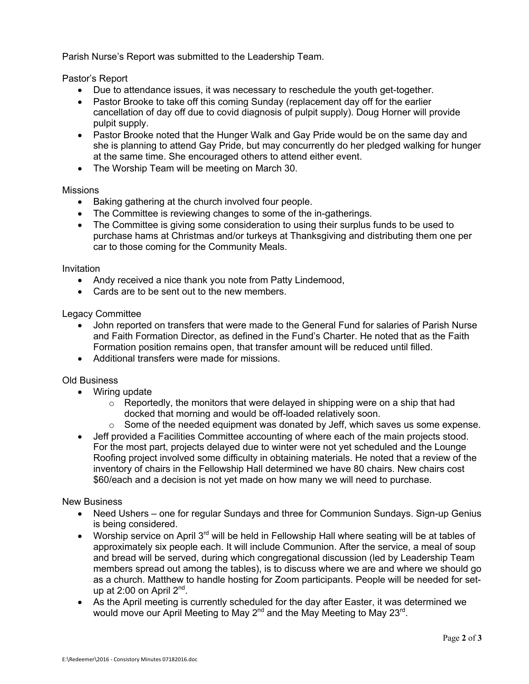Parish Nurse's Report was submitted to the Leadership Team.

Pastor's Report

- Due to attendance issues, it was necessary to reschedule the youth get-together.
- Pastor Brooke to take off this coming Sunday (replacement day off for the earlier cancellation of day off due to covid diagnosis of pulpit supply). Doug Horner will provide pulpit supply.
- Pastor Brooke noted that the Hunger Walk and Gay Pride would be on the same day and she is planning to attend Gay Pride, but may concurrently do her pledged walking for hunger at the same time. She encouraged others to attend either event.
- The Worship Team will be meeting on March 30.

### Missions

- Baking gathering at the church involved four people.
- The Committee is reviewing changes to some of the in-gatherings.
- The Committee is giving some consideration to using their surplus funds to be used to purchase hams at Christmas and/or turkeys at Thanksgiving and distributing them one per car to those coming for the Community Meals.

#### Invitation

- Andy received a nice thank you note from Patty Lindemood,
- Cards are to be sent out to the new members.

#### Legacy Committee

- John reported on transfers that were made to the General Fund for salaries of Parish Nurse and Faith Formation Director, as defined in the Fund's Charter. He noted that as the Faith Formation position remains open, that transfer amount will be reduced until filled.
- Additional transfers were made for missions.

#### Old Business

- Wiring update
	- $\circ$  Reportedly, the monitors that were delayed in shipping were on a ship that had docked that morning and would be off-loaded relatively soon.
	- $\circ$  Some of the needed equipment was donated by Jeff, which saves us some expense.
- Jeff provided a Facilities Committee accounting of where each of the main projects stood. For the most part, projects delayed due to winter were not yet scheduled and the Lounge Roofing project involved some difficulty in obtaining materials. He noted that a review of the inventory of chairs in the Fellowship Hall determined we have 80 chairs. New chairs cost \$60/each and a decision is not yet made on how many we will need to purchase.

#### New Business

- Need Ushers one for regular Sundays and three for Communion Sundays. Sign-up Genius is being considered.
- Worship service on April  $3<sup>rd</sup>$  will be held in Fellowship Hall where seating will be at tables of approximately six people each. It will include Communion. After the service, a meal of soup and bread will be served, during which congregational discussion (led by Leadership Team members spread out among the tables), is to discuss where we are and where we should go as a church. Matthew to handle hosting for Zoom participants. People will be needed for setup at  $2:00$  on April  $2<sup>nd</sup>$ .
- As the April meeting is currently scheduled for the day after Easter, it was determined we would move our April Meeting to May 2<sup>nd</sup> and the May Meeting to May 23<sup>rd</sup>.